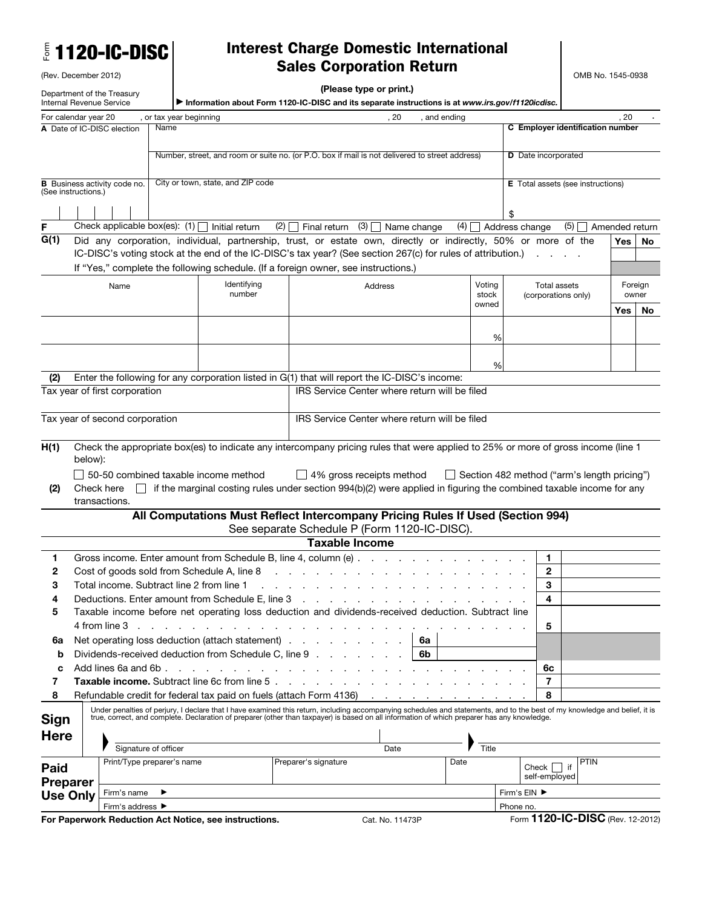|  |  |  |  |  |  |  | <b>E</b> 1120-IC-DISC |
|--|--|--|--|--|--|--|-----------------------|
|--|--|--|--|--|--|--|-----------------------|

(Rev. December 2012)

## Interest Charge Domestic International Sales Corporation Return

| (Please type or print.) |  |  |  |
|-------------------------|--|--|--|
|-------------------------|--|--|--|

| Department of the Treasury<br>Internal Revenue Service<br>Information about Form 1120-IC-DISC and its separate instructions is at www.irs.gov/f1120icdisc. |                                                                                                 |                                |                            | (Please type or print.)                                                                 |                                  |                                                                                                                                                                                                                                                                                            |                               |                |                                                    |                       |      |             |
|------------------------------------------------------------------------------------------------------------------------------------------------------------|-------------------------------------------------------------------------------------------------|--------------------------------|----------------------------|-----------------------------------------------------------------------------------------|----------------------------------|--------------------------------------------------------------------------------------------------------------------------------------------------------------------------------------------------------------------------------------------------------------------------------------------|-------------------------------|----------------|----------------------------------------------------|-----------------------|------|-------------|
| For calendar year 20                                                                                                                                       |                                                                                                 |                                | , or tax year beginning    |                                                                                         |                                  | , 20                                                                                                                                                                                                                                                                                       | , and ending                  |                |                                                    |                       | . 20 |             |
|                                                                                                                                                            |                                                                                                 | A Date of IC-DISC election     | Name                       |                                                                                         |                                  |                                                                                                                                                                                                                                                                                            |                               |                | C Employer identification number                   |                       |      |             |
|                                                                                                                                                            |                                                                                                 |                                |                            |                                                                                         |                                  | Number, street, and room or suite no. (or P.O. box if mail is not delivered to street address)                                                                                                                                                                                             |                               |                | <b>D</b> Date incorporated                         |                       |      |             |
|                                                                                                                                                            | City or town, state, and ZIP code<br><b>B</b> Business activity code no.<br>(See instructions.) |                                |                            |                                                                                         |                                  |                                                                                                                                                                                                                                                                                            |                               |                | <b>E</b> Total assets (see instructions)           |                       |      |             |
|                                                                                                                                                            |                                                                                                 |                                |                            |                                                                                         |                                  |                                                                                                                                                                                                                                                                                            |                               |                |                                                    |                       |      |             |
| F                                                                                                                                                          |                                                                                                 |                                |                            | Check applicable box(es): $(1)$   Initial return                                        | (2)<br>Final return              | $(3)$ Name change                                                                                                                                                                                                                                                                          | (4)                           |                | Address change                                     | (5)<br>Amended return |      |             |
| G(1)                                                                                                                                                       |                                                                                                 |                                |                            |                                                                                         |                                  | Did any corporation, individual, partnership, trust, or estate own, directly or indirectly, 50% or more of the<br>IC-DISC's voting stock at the end of the IC-DISC's tax year? (See section 267(c) for rules of attribution.)                                                              |                               |                |                                                    |                       | Yes  | No          |
|                                                                                                                                                            |                                                                                                 | Name                           |                            | Identifying                                                                             |                                  | If "Yes," complete the following schedule. (If a foreign owner, see instructions.)<br>Address                                                                                                                                                                                              |                               | Voting         | Total assets                                       |                       |      | Foreign     |
|                                                                                                                                                            |                                                                                                 |                                |                            | number                                                                                  |                                  |                                                                                                                                                                                                                                                                                            |                               | stock<br>owned | (corporations only)                                |                       | Yes  | owner<br>No |
|                                                                                                                                                            |                                                                                                 |                                |                            |                                                                                         |                                  |                                                                                                                                                                                                                                                                                            |                               |                |                                                    |                       |      |             |
|                                                                                                                                                            |                                                                                                 |                                |                            |                                                                                         |                                  |                                                                                                                                                                                                                                                                                            |                               | %              |                                                    |                       |      |             |
|                                                                                                                                                            |                                                                                                 |                                |                            |                                                                                         |                                  |                                                                                                                                                                                                                                                                                            |                               | %              |                                                    |                       |      |             |
| (2)                                                                                                                                                        |                                                                                                 |                                |                            |                                                                                         |                                  | Enter the following for any corporation listed in G(1) that will report the IC-DISC's income:                                                                                                                                                                                              |                               |                |                                                    |                       |      |             |
|                                                                                                                                                            |                                                                                                 | Tax year of first corporation  |                            |                                                                                         |                                  | IRS Service Center where return will be filed                                                                                                                                                                                                                                              |                               |                |                                                    |                       |      |             |
|                                                                                                                                                            |                                                                                                 |                                |                            |                                                                                         |                                  |                                                                                                                                                                                                                                                                                            |                               |                |                                                    |                       |      |             |
|                                                                                                                                                            |                                                                                                 | Tax year of second corporation |                            |                                                                                         |                                  | IRS Service Center where return will be filed                                                                                                                                                                                                                                              |                               |                |                                                    |                       |      |             |
| H(1)<br>(2)                                                                                                                                                | below):                                                                                         | Check here<br>transactions.    |                            | $\Box$ 50-50 combined taxable income method                                             |                                  | Check the appropriate box(es) to indicate any intercompany pricing rules that were applied to 25% or more of gross income (line 1<br>$\Box$ 4% gross receipts method<br>if the marginal costing rules under section 994(b)(2) were applied in figuring the combined taxable income for any |                               |                | $\Box$ Section 482 method ("arm's length pricing") |                       |      |             |
|                                                                                                                                                            |                                                                                                 |                                |                            |                                                                                         |                                  | All Computations Must Reflect Intercompany Pricing Rules If Used (Section 994)                                                                                                                                                                                                             |                               |                |                                                    |                       |      |             |
|                                                                                                                                                            |                                                                                                 |                                |                            |                                                                                         |                                  | See separate Schedule P (Form 1120-IC-DISC).                                                                                                                                                                                                                                               |                               |                |                                                    |                       |      |             |
|                                                                                                                                                            |                                                                                                 |                                |                            |                                                                                         |                                  | <b>Taxable Income</b>                                                                                                                                                                                                                                                                      |                               |                |                                                    |                       |      |             |
| 1                                                                                                                                                          |                                                                                                 |                                |                            | Gross income. Enter amount from Schedule B, line 4, column (e)                          |                                  |                                                                                                                                                                                                                                                                                            |                               |                | 1                                                  |                       |      |             |
| 2<br>3                                                                                                                                                     |                                                                                                 |                                |                            | Cost of goods sold from Schedule A, line 8<br>Total income. Subtract line 2 from line 1 |                                  |                                                                                                                                                                                                                                                                                            |                               |                | 2<br>З                                             |                       |      |             |
|                                                                                                                                                            |                                                                                                 |                                |                            |                                                                                         | and a straightful contract and a |                                                                                                                                                                                                                                                                                            |                               |                | 4                                                  |                       |      |             |
| 5                                                                                                                                                          |                                                                                                 |                                |                            |                                                                                         |                                  | Taxable income before net operating loss deduction and dividends-received deduction. Subtract line                                                                                                                                                                                         |                               |                |                                                    |                       |      |             |
|                                                                                                                                                            |                                                                                                 | 4 from line 3                  |                            |                                                                                         |                                  |                                                                                                                                                                                                                                                                                            |                               |                | 5                                                  |                       |      |             |
| 6a                                                                                                                                                         |                                                                                                 |                                |                            | Net operating loss deduction (attach statement).                                        |                                  |                                                                                                                                                                                                                                                                                            | 6a                            |                |                                                    |                       |      |             |
| b                                                                                                                                                          |                                                                                                 |                                |                            | Dividends-received deduction from Schedule C, line 9                                    |                                  |                                                                                                                                                                                                                                                                                            | 6b                            |                |                                                    |                       |      |             |
| c                                                                                                                                                          |                                                                                                 | Add lines 6a and 6b.           |                            |                                                                                         |                                  |                                                                                                                                                                                                                                                                                            |                               |                | 6с                                                 |                       |      |             |
| 7                                                                                                                                                          |                                                                                                 |                                |                            | <b>Taxable income.</b> Subtract line 6c from line 5                                     |                                  |                                                                                                                                                                                                                                                                                            |                               |                | 7                                                  |                       |      |             |
| 8                                                                                                                                                          |                                                                                                 |                                |                            | Refundable credit for federal tax paid on fuels (attach Form 4136)                      |                                  |                                                                                                                                                                                                                                                                                            | and a strain and a strain and |                | 8                                                  |                       |      |             |
| <b>Sign</b>                                                                                                                                                |                                                                                                 |                                |                            |                                                                                         |                                  | Under penalties of perjury, I declare that I have examined this return, including accompanying schedules and statements, and to the best of my knowledge and belief, it is<br>true, correct, and complete. Declaration of prepare                                                          |                               |                |                                                    |                       |      |             |
| <b>Here</b>                                                                                                                                                |                                                                                                 |                                |                            |                                                                                         |                                  |                                                                                                                                                                                                                                                                                            |                               |                |                                                    |                       |      |             |
|                                                                                                                                                            |                                                                                                 |                                | Signature of officer       |                                                                                         |                                  | Date                                                                                                                                                                                                                                                                                       |                               | Title          |                                                    |                       |      |             |
| Paid                                                                                                                                                       |                                                                                                 |                                | Print/Type preparer's name |                                                                                         | Preparer's signature             |                                                                                                                                                                                                                                                                                            | Date                          |                | $Check$ $\vert$<br>self-employed                   | <b>PTIN</b><br>if     |      |             |
| <b>Preparer</b><br><b>Use Only</b>                                                                                                                         |                                                                                                 | Firm's name                    |                            |                                                                                         |                                  |                                                                                                                                                                                                                                                                                            |                               |                | Firm's EIN ▶                                       |                       |      |             |
|                                                                                                                                                            |                                                                                                 | Firm's address ▶               |                            |                                                                                         |                                  |                                                                                                                                                                                                                                                                                            |                               |                | Phone no.                                          |                       |      |             |
|                                                                                                                                                            |                                                                                                 |                                |                            | For Paperwork Reduction Act Notice, see instructions.                                   |                                  | Cat. No. 11473P                                                                                                                                                                                                                                                                            |                               |                | Form 1120-IC-DISC (Rev. 12-2012)                   |                       |      |             |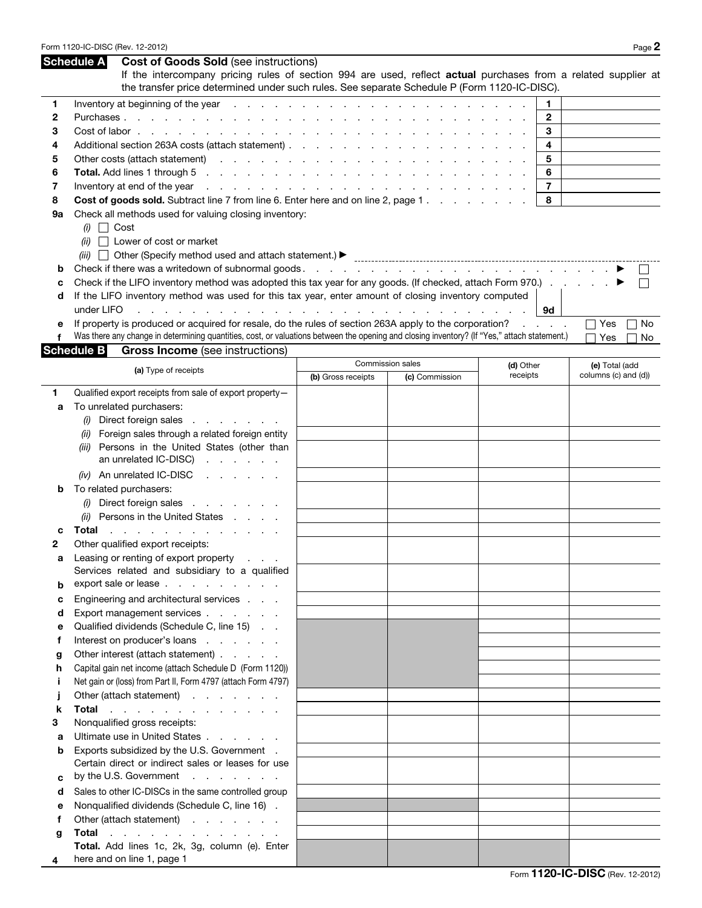|    | <b>Schedule A</b> | <b>Cost of Goods Sold (see instructions)</b>                                                                                                                                           |                                                                                                                                                                                                                                |                  |                       |                                        |
|----|-------------------|----------------------------------------------------------------------------------------------------------------------------------------------------------------------------------------|--------------------------------------------------------------------------------------------------------------------------------------------------------------------------------------------------------------------------------|------------------|-----------------------|----------------------------------------|
|    |                   | If the intercompany pricing rules of section 994 are used, reflect actual purchases from a related supplier at                                                                         |                                                                                                                                                                                                                                |                  |                       |                                        |
|    |                   | the transfer price determined under such rules. See separate Schedule P (Form 1120-IC-DISC).                                                                                           |                                                                                                                                                                                                                                |                  |                       |                                        |
| 1  |                   |                                                                                                                                                                                        |                                                                                                                                                                                                                                |                  | 1                     |                                        |
| 2  |                   |                                                                                                                                                                                        |                                                                                                                                                                                                                                |                  | 2                     |                                        |
| 3  |                   |                                                                                                                                                                                        |                                                                                                                                                                                                                                |                  | 3                     |                                        |
| 4  |                   |                                                                                                                                                                                        |                                                                                                                                                                                                                                |                  | 4                     |                                        |
| 5  |                   |                                                                                                                                                                                        |                                                                                                                                                                                                                                |                  | 5                     |                                        |
| 6  |                   | Total. Add lines 1 through 5<br>the contract of the contract of the contract of the contract of the contract of                                                                        |                                                                                                                                                                                                                                |                  | 6                     |                                        |
| 7  |                   | Inventory at end of the year<br>and the contract of the contract of the contract of the contract of the contract of                                                                    |                                                                                                                                                                                                                                |                  | $\overline{7}$        |                                        |
| 8  |                   | Cost of goods sold. Subtract line 7 from line 6. Enter here and on line 2, page 1.                                                                                                     |                                                                                                                                                                                                                                |                  | 8                     |                                        |
| 9a |                   | Check all methods used for valuing closing inventory:                                                                                                                                  |                                                                                                                                                                                                                                |                  |                       |                                        |
|    | $(i)$ Cost        |                                                                                                                                                                                        |                                                                                                                                                                                                                                |                  |                       |                                        |
|    |                   | $(ii)$ Lower of cost or market                                                                                                                                                         |                                                                                                                                                                                                                                |                  |                       |                                        |
|    |                   |                                                                                                                                                                                        |                                                                                                                                                                                                                                |                  |                       |                                        |
| b  |                   |                                                                                                                                                                                        |                                                                                                                                                                                                                                |                  |                       |                                        |
| с  |                   | Check if the LIFO inventory method was adopted this tax year for any goods. (If checked, attach Form 970.)                                                                             |                                                                                                                                                                                                                                |                  |                       |                                        |
| d  |                   | If the LIFO inventory method was used for this tax year, enter amount of closing inventory computed                                                                                    |                                                                                                                                                                                                                                |                  |                       |                                        |
|    | under LIFO        | and the state of the state of the                                                                                                                                                      | the second contract of the second contract of the second contract of the second contract of the second contract of the second contract of the second contract of the second contract of the second contract of the second cont |                  | 9d                    |                                        |
| е  |                   | If property is produced or acquired for resale, do the rules of section 263A apply to the corporation?                                                                                 |                                                                                                                                                                                                                                |                  | and the control       | Yes<br>No                              |
| f  | <b>Schedule B</b> | Was there any change in determining quantities, cost, or valuations between the opening and closing inventory? (If "Yes," attach statement.)<br><b>Gross Income</b> (see instructions) |                                                                                                                                                                                                                                |                  |                       | Yes<br>No.                             |
|    |                   |                                                                                                                                                                                        |                                                                                                                                                                                                                                | Commission sales |                       |                                        |
|    |                   | (a) Type of receipts                                                                                                                                                                   | (b) Gross receipts                                                                                                                                                                                                             | (c) Commission   | (d) Other<br>receipts | (e) Total (add<br>columns (c) and (d)) |
|    |                   |                                                                                                                                                                                        |                                                                                                                                                                                                                                |                  |                       |                                        |
| 1  |                   | Qualified export receipts from sale of export property-<br>To unrelated purchasers:                                                                                                    |                                                                                                                                                                                                                                |                  |                       |                                        |
| а  |                   | Direct foreign sales                                                                                                                                                                   |                                                                                                                                                                                                                                |                  |                       |                                        |
|    |                   | the contract of the contract of<br>Foreign sales through a related foreign entity                                                                                                      |                                                                                                                                                                                                                                |                  |                       |                                        |
|    | (iii)             | Persons in the United States (other than                                                                                                                                               |                                                                                                                                                                                                                                |                  |                       |                                        |
|    |                   | an unrelated IC-DISC $\,$                                                                                                                                                              |                                                                                                                                                                                                                                |                  |                       |                                        |
|    |                   | (iv) An unrelated IC-DISC<br>and a state of the state of                                                                                                                               |                                                                                                                                                                                                                                |                  |                       |                                        |
| b  |                   | To related purchasers:                                                                                                                                                                 |                                                                                                                                                                                                                                |                  |                       |                                        |
|    |                   | Direct foreign sales                                                                                                                                                                   |                                                                                                                                                                                                                                |                  |                       |                                        |
|    |                   | (ii) Persons in the United States                                                                                                                                                      |                                                                                                                                                                                                                                |                  |                       |                                        |
|    | Total             | .                                                                                                                                                                                      |                                                                                                                                                                                                                                |                  |                       |                                        |
| 2  |                   | Other qualified export receipts:                                                                                                                                                       |                                                                                                                                                                                                                                |                  |                       |                                        |
| а  |                   | Leasing or renting of export property                                                                                                                                                  |                                                                                                                                                                                                                                |                  |                       |                                        |
|    |                   | Services related and subsidiary to a qualified                                                                                                                                         |                                                                                                                                                                                                                                |                  |                       |                                        |
| b  |                   | export sale or lease                                                                                                                                                                   |                                                                                                                                                                                                                                |                  |                       |                                        |
| c  |                   | Engineering and architectural services                                                                                                                                                 |                                                                                                                                                                                                                                |                  |                       |                                        |
| d  |                   | Export management services                                                                                                                                                             |                                                                                                                                                                                                                                |                  |                       |                                        |
| е  |                   | Qualified dividends (Schedule C, line 15)                                                                                                                                              |                                                                                                                                                                                                                                |                  |                       |                                        |
| f  |                   | Interest on producer's loans                                                                                                                                                           |                                                                                                                                                                                                                                |                  |                       |                                        |
| g  |                   | Other interest (attach statement)                                                                                                                                                      |                                                                                                                                                                                                                                |                  |                       |                                        |
| h  |                   | Capital gain net income (attach Schedule D (Form 1120))                                                                                                                                |                                                                                                                                                                                                                                |                  |                       |                                        |
| Ť  |                   | Net gain or (loss) from Part II, Form 4797 (attach Form 4797)                                                                                                                          |                                                                                                                                                                                                                                |                  |                       |                                        |
|    |                   | Other (attach statement)                                                                                                                                                               |                                                                                                                                                                                                                                |                  |                       |                                        |
| k  |                   | Total and a series and a series are a series of                                                                                                                                        |                                                                                                                                                                                                                                |                  |                       |                                        |
| 3  |                   | Nonqualified gross receipts:                                                                                                                                                           |                                                                                                                                                                                                                                |                  |                       |                                        |
| a  |                   | Ultimate use in United States                                                                                                                                                          |                                                                                                                                                                                                                                |                  |                       |                                        |
| b  |                   | Exports subsidized by the U.S. Government .                                                                                                                                            |                                                                                                                                                                                                                                |                  |                       |                                        |
|    |                   | Certain direct or indirect sales or leases for use                                                                                                                                     |                                                                                                                                                                                                                                |                  |                       |                                        |
| C  |                   | by the U.S. Government                                                                                                                                                                 |                                                                                                                                                                                                                                |                  |                       |                                        |
| d  |                   | Sales to other IC-DISCs in the same controlled group                                                                                                                                   |                                                                                                                                                                                                                                |                  |                       |                                        |
| е  |                   | Nonqualified dividends (Schedule C, line 16).                                                                                                                                          |                                                                                                                                                                                                                                |                  |                       |                                        |
| f  |                   | Other (attach statement)                                                                                                                                                               |                                                                                                                                                                                                                                |                  |                       |                                        |
| g  | Total             | and a series of the contract of the contract of                                                                                                                                        |                                                                                                                                                                                                                                |                  |                       |                                        |
|    |                   | Total. Add lines 1c, 2k, 3g, column (e). Enter                                                                                                                                         |                                                                                                                                                                                                                                |                  |                       |                                        |
| 4  |                   | here and on line 1, page 1                                                                                                                                                             |                                                                                                                                                                                                                                |                  |                       |                                        |

Form 1120-IC-DISC (Rev. 12-2012) Page 2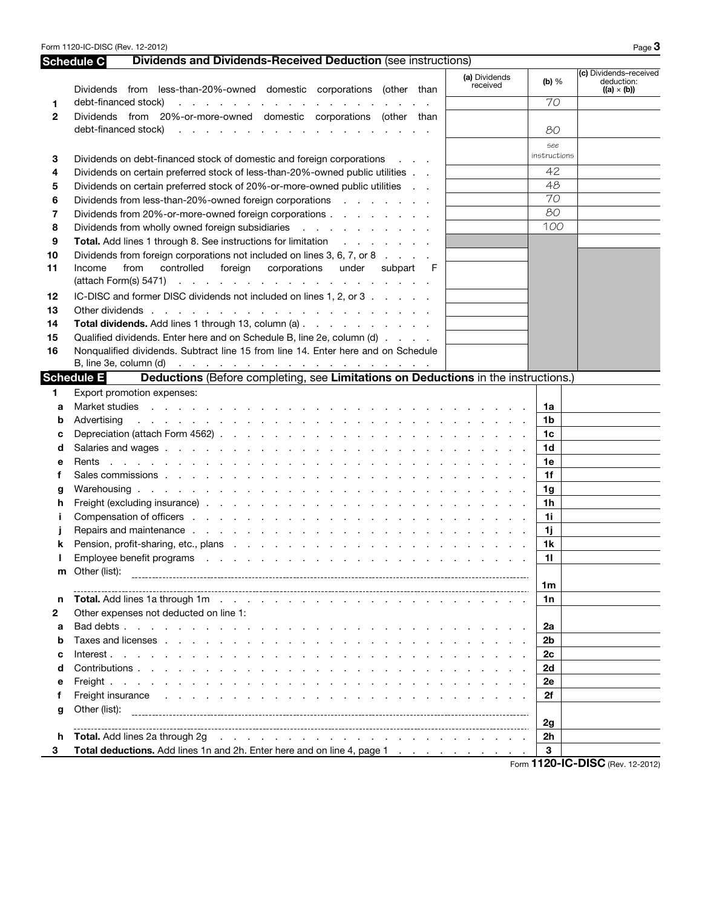Form 1120-IC-DISC (Rev. 12-2012) Page 3

## Schedule C Dividends and Dividends-Received Deduction (see instructions)

|              | (a) Dividends<br>received<br>Dividends from less-than-20%-owned domestic corporations (other than                                                                                                                                            | (b) $%$         | (c) Dividends-received<br>deduction:<br>$((a) \times (b))$ |
|--------------|----------------------------------------------------------------------------------------------------------------------------------------------------------------------------------------------------------------------------------------------|-----------------|------------------------------------------------------------|
| 1            | debt-financed stock)<br>and a series of the contract of the contract of the contract of                                                                                                                                                      | 70              |                                                            |
| $\mathbf{2}$ | Dividends from 20%-or-more-owned domestic corporations (other than                                                                                                                                                                           |                 |                                                            |
|              | debt-financed stock)<br>and a series of the contract of the contract of the contract of                                                                                                                                                      | 80              |                                                            |
|              |                                                                                                                                                                                                                                              | see             |                                                            |
| З            | Dividends on debt-financed stock of domestic and foreign corporations                                                                                                                                                                        | instructions    |                                                            |
| 4            | Dividends on certain preferred stock of less-than-20%-owned public utilities                                                                                                                                                                 | 42              |                                                            |
| 5            | Dividends on certain preferred stock of 20%-or-more-owned public utilities                                                                                                                                                                   | 48              |                                                            |
| 6            | Dividends from less-than-20%-owned foreign corporations enterstance of the state of Dividends from less-than-20%-owned foreign corporations                                                                                                  | $\overline{70}$ |                                                            |
| 7            | Dividends from 20%-or-more-owned foreign corporations                                                                                                                                                                                        | 80              |                                                            |
| 8            | Dividends from wholly owned foreign subsidiaries example and solution of the state of the Dividends from wholly                                                                                                                              | 100             |                                                            |
| 9            | <b>Total.</b> Add lines 1 through 8. See instructions for limitation                                                                                                                                                                         |                 |                                                            |
| 10           | Dividends from foreign corporations not included on lines 3, 6, 7, or 8                                                                                                                                                                      |                 |                                                            |
| 11           | controlled foreign corporations<br>Income<br>from<br>under<br>subpart<br>- F                                                                                                                                                                 |                 |                                                            |
|              |                                                                                                                                                                                                                                              |                 |                                                            |
| 12           | IC-DISC and former DISC dividends not included on lines 1, 2, or 3                                                                                                                                                                           |                 |                                                            |
| 13           | Other dividends.<br>the second contract of the contract of the contract of the contract of                                                                                                                                                   |                 |                                                            |
| 14           | Total dividends. Add lines 1 through 13, column (a)                                                                                                                                                                                          |                 |                                                            |
| 15           | Qualified dividends. Enter here and on Schedule B, line 2e, column (d)                                                                                                                                                                       |                 |                                                            |
| 16           | Nonqualified dividends. Subtract line 15 from line 14. Enter here and on Schedule                                                                                                                                                            |                 |                                                            |
|              | B, line 3e, column (d) $\cdots$ $\cdots$ $\cdots$ $\cdots$ $\cdots$ $\cdots$ $\cdots$ $\cdots$ $\cdots$                                                                                                                                      |                 |                                                            |
|              | <b>Schedule E</b><br>Deductions (Before completing, see Limitations on Deductions in the instructions.)                                                                                                                                      |                 |                                                            |
| 1.           | Export promotion expenses:                                                                                                                                                                                                                   |                 |                                                            |
| a            | Market studies research and response to the studies of the studies of the studies of the studies of the studies                                                                                                                              | 1a              |                                                            |
| b            | and a constitution of the constitution of the constitution of the constitution of the constitution of the constitution of the constitution of the constitution of the constitution of the constitution of the constitution of<br>Advertising | 1 <sub>b</sub>  |                                                            |
| c            |                                                                                                                                                                                                                                              | 1c              |                                                            |
| d            |                                                                                                                                                                                                                                              | 1 <sub>d</sub>  |                                                            |
| е            | Rents<br>the contract of the contract of the contract of the contract of the contract of the contract of the contract of                                                                                                                     | 1e              |                                                            |
| f            |                                                                                                                                                                                                                                              | 1f              |                                                            |
| g            |                                                                                                                                                                                                                                              | 1g              |                                                            |
| h            |                                                                                                                                                                                                                                              | 1 <sub>h</sub>  |                                                            |
|              |                                                                                                                                                                                                                                              | 1i              |                                                            |
|              |                                                                                                                                                                                                                                              | 1j              |                                                            |
| ĸ            |                                                                                                                                                                                                                                              | 1 <sub>k</sub>  |                                                            |
|              | Employee benefit programs response to the contract of the contract of the contract of the contract of the contract of the contract of the contract of the contract of the contract of the contract of the contract of the cont               | 11              |                                                            |
|              | m Other (list):                                                                                                                                                                                                                              |                 |                                                            |
|              |                                                                                                                                                                                                                                              | 1m              |                                                            |
| n            |                                                                                                                                                                                                                                              | 1n              |                                                            |
| 2            | Other expenses not deducted on line 1:                                                                                                                                                                                                       |                 |                                                            |
| a            |                                                                                                                                                                                                                                              | 2a              |                                                            |
| b            |                                                                                                                                                                                                                                              | 2 <sub>b</sub>  |                                                            |
| c            |                                                                                                                                                                                                                                              | 2c              |                                                            |
| d            |                                                                                                                                                                                                                                              | 2d              |                                                            |
| е            |                                                                                                                                                                                                                                              | 2e              |                                                            |
| f            | Freight insurance<br>de la caractería de la caractería de la caractería de la caractería                                                                                                                                                     | 2f              |                                                            |
| g            | Other (list):                                                                                                                                                                                                                                |                 |                                                            |
|              |                                                                                                                                                                                                                                              | 2g              |                                                            |
| h            | Total. Add lines 2a through 2g<br>and the contract of the contract of the contract of the contract of the contract of                                                                                                                        | 2h              |                                                            |
| 3            | Total deductions. Add lines 1n and 2h. Enter here and on line 4, page 1                                                                                                                                                                      | 3               |                                                            |

Form **1120-IC-DISC** (Rev. 12-2012)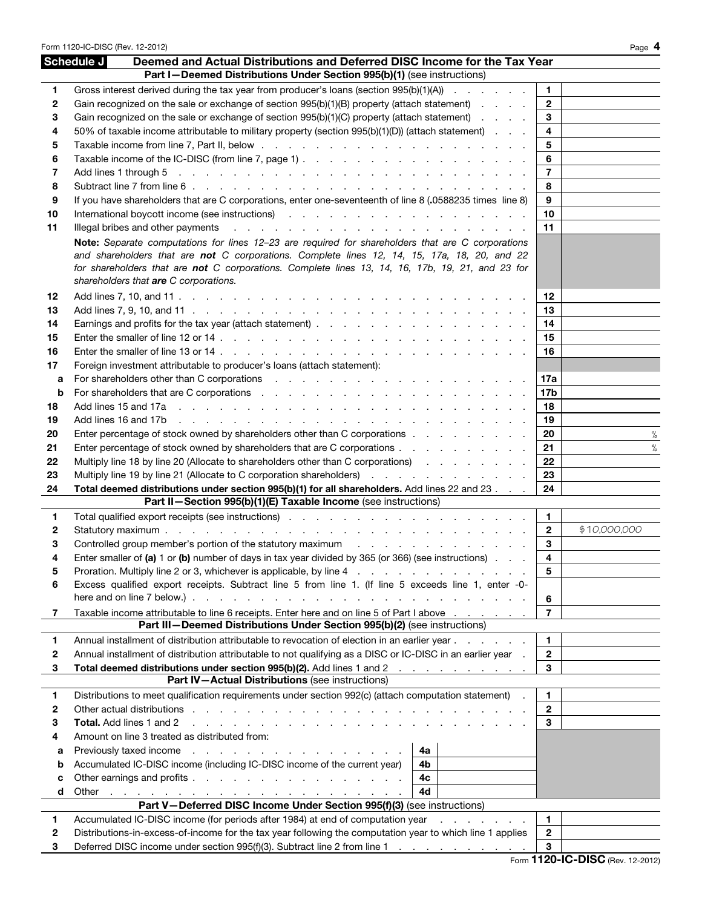|          | Form 1120-IC-DISC (Rev. 12-2012)                                                                                                                                                                                                                          |                         | Page 4       |
|----------|-----------------------------------------------------------------------------------------------------------------------------------------------------------------------------------------------------------------------------------------------------------|-------------------------|--------------|
|          | Schedule J<br>Deemed and Actual Distributions and Deferred DISC Income for the Tax Year                                                                                                                                                                   |                         |              |
|          | Part I-Deemed Distributions Under Section 995(b)(1) (see instructions)                                                                                                                                                                                    |                         |              |
| 1        | Gross interest derived during the tax year from producer's loans (section $995(b)(1)(A)$ )                                                                                                                                                                | 1.                      |              |
| 2        | Gain recognized on the sale or exchange of section 995(b)(1)(B) property (attach statement)                                                                                                                                                               | $\mathbf{2}$            |              |
| 3        | Gain recognized on the sale or exchange of section 995(b)(1)(C) property (attach statement)                                                                                                                                                               | 3                       |              |
| 4        | 50% of taxable income attributable to military property (section $995(b)(1)(D)$ ) (attach statement)                                                                                                                                                      | $\overline{\mathbf{4}}$ |              |
| 5        |                                                                                                                                                                                                                                                           | 5                       |              |
| 6        |                                                                                                                                                                                                                                                           | 6                       |              |
| 7        |                                                                                                                                                                                                                                                           | $\overline{7}$          |              |
| 8        | If you have shareholders that are C corporations, enter one-seventeenth of line 8 (.0588235 times line 8)                                                                                                                                                 | 8<br>9                  |              |
| 9        |                                                                                                                                                                                                                                                           | 10                      |              |
| 10<br>11 | International boycott income (see instructions) and a series of the contract of the contract of the contract of the contract of the contract of the contract of the contract of the contract of the contract of the contract o                            | 11                      |              |
|          |                                                                                                                                                                                                                                                           |                         |              |
|          | Note: Separate computations for lines 12-23 are required for shareholders that are C corporations<br>and shareholders that are not C corporations. Complete lines 12, 14, 15, 17a, 18, 20, and 22                                                         |                         |              |
|          | for shareholders that are not C corporations. Complete lines 13, 14, 16, 17b, 19, 21, and 23 for                                                                                                                                                          |                         |              |
|          | shareholders that are C corporations.                                                                                                                                                                                                                     |                         |              |
| 12       |                                                                                                                                                                                                                                                           | 12                      |              |
| 13       |                                                                                                                                                                                                                                                           | 13                      |              |
| 14       |                                                                                                                                                                                                                                                           | 14                      |              |
| 15       |                                                                                                                                                                                                                                                           | 15                      |              |
| 16       |                                                                                                                                                                                                                                                           | 16                      |              |
| 17       | Foreign investment attributable to producer's loans (attach statement):                                                                                                                                                                                   |                         |              |
| a        |                                                                                                                                                                                                                                                           | 17a                     |              |
| b        |                                                                                                                                                                                                                                                           | 17b                     |              |
| 18       |                                                                                                                                                                                                                                                           | 18                      |              |
| 19       |                                                                                                                                                                                                                                                           | 19                      |              |
| 20       | Enter percentage of stock owned by shareholders other than C corporations                                                                                                                                                                                 | 20                      | $\%$         |
| 21       | Enter percentage of stock owned by shareholders that are C corporations                                                                                                                                                                                   | 21                      | $\%$         |
| 22       | Multiply line 18 by line 20 (Allocate to shareholders other than C corporations)                                                                                                                                                                          | 22                      |              |
| 23       | Multiply line 19 by line 21 (Allocate to C corporation shareholders) (and all contact of the 19 by line 21 (Allocate to C corporation shareholders)                                                                                                       | 23                      |              |
| 24       | Total deemed distributions under section 995(b)(1) for all shareholders. Add lines 22 and 23                                                                                                                                                              | 24                      |              |
|          | Part II-Section 995(b)(1)(E) Taxable Income (see instructions)                                                                                                                                                                                            |                         |              |
| 1.       |                                                                                                                                                                                                                                                           | $\mathbf{1}$            |              |
| 2        |                                                                                                                                                                                                                                                           | $\overline{2}$          | \$10,000,000 |
| 3        | Controlled group member's portion of the statutory maximum controlled around the statutory maximum controlled group.                                                                                                                                      | 3                       |              |
| 4        | Enter smaller of (a) 1 or (b) number of days in tax year divided by 365 (or 366) (see instructions) $\ldots$                                                                                                                                              | 4                       |              |
| 5        | Proration. Multiply line 2 or 3, whichever is applicable, by line 4<br>Excess qualified export receipts. Subtract line 5 from line 1. (If line 5 exceeds line 1, enter -0-                                                                                | 5                       |              |
| 6        |                                                                                                                                                                                                                                                           |                         |              |
|          | Taxable income attributable to line 6 receipts. Enter here and on line 5 of Part I above                                                                                                                                                                  | 6<br>$\overline{7}$     |              |
| 7        | Part III-Deemed Distributions Under Section 995(b)(2) (see instructions)                                                                                                                                                                                  |                         |              |
| 1        | Annual installment of distribution attributable to revocation of election in an earlier year                                                                                                                                                              | 1.                      |              |
| 2        | Annual installment of distribution attributable to not qualifying as a DISC or IC-DISC in an earlier year.                                                                                                                                                | $\mathbf{2}$            |              |
| 3        | Total deemed distributions under section 995(b)(2). Add lines 1 and 2                                                                                                                                                                                     | 3                       |              |
|          | Part IV-Actual Distributions (see instructions)                                                                                                                                                                                                           |                         |              |
| 1        | Distributions to meet qualification requirements under section 992(c) (attach computation statement)<br>$\sim$                                                                                                                                            | 1.                      |              |
| 2        |                                                                                                                                                                                                                                                           | $\mathbf{2}$            |              |
| 3        | Total. Add lines 1 and 2<br>a construction of the construction of the construction of the construction of the construction of the construction of the construction of the construction of the construction of the construction of the construction of the | 3                       |              |
| 4        | Amount on line 3 treated as distributed from:                                                                                                                                                                                                             |                         |              |
| a        | Previously taxed income<br>4a                                                                                                                                                                                                                             |                         |              |
| b        | Accumulated IC-DISC income (including IC-DISC income of the current year)<br>4b                                                                                                                                                                           |                         |              |
| c        | Other earnings and profits<br>4с                                                                                                                                                                                                                          |                         |              |
| d        | 4d                                                                                                                                                                                                                                                        |                         |              |
|          | Part V-Deferred DISC Income Under Section 995(f)(3) (see instructions)                                                                                                                                                                                    | 1.                      |              |
| 1<br>2   | Accumulated IC-DISC income (for periods after 1984) at end of computation year<br>and a state of the state of the<br>Distributions-in-excess-of-income for the tax year following the computation year to which line 1 applies                            | $\mathbf{2}$            |              |
| 3        | Deferred DISC income under section 995(f)(3). Subtract line 2 from line 1                                                                                                                                                                                 | 3                       |              |
|          |                                                                                                                                                                                                                                                           |                         | 11001000     |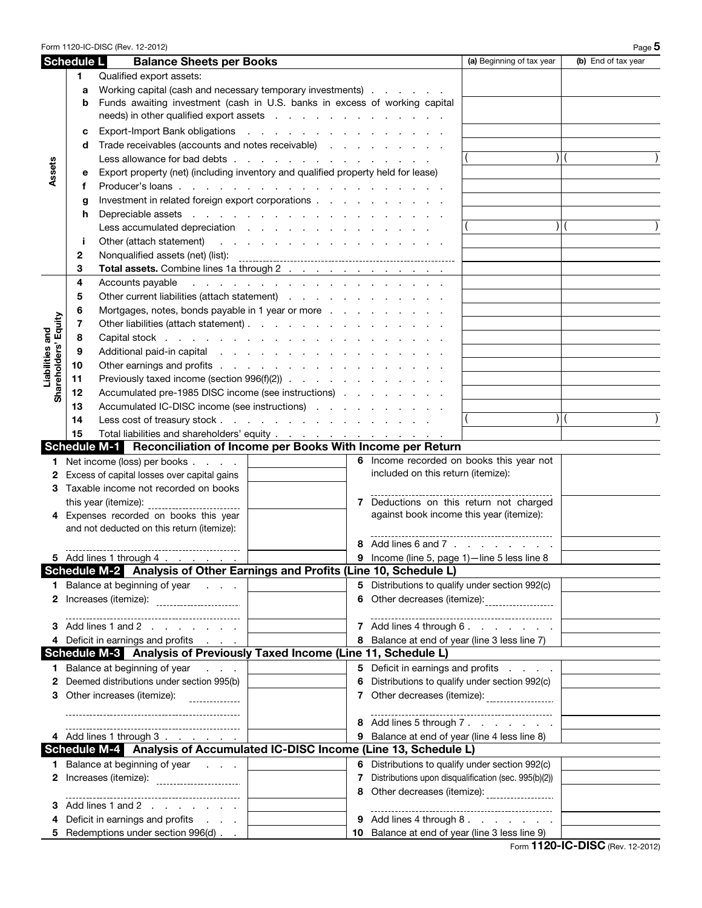|                      |            | Form 1120-IC-DISC (Rev. 12-2012)                                                  |                                                               |   |                                                |                                                      | Page 5              |
|----------------------|------------|-----------------------------------------------------------------------------------|---------------------------------------------------------------|---|------------------------------------------------|------------------------------------------------------|---------------------|
|                      | Schedule L | <b>Balance Sheets per Books</b>                                                   |                                                               |   |                                                | (a) Beginning of tax year                            | (b) End of tax year |
|                      | 1.         | Qualified export assets:                                                          |                                                               |   |                                                |                                                      |                     |
|                      | a          | Working capital (cash and necessary temporary investments)                        |                                                               |   |                                                |                                                      |                     |
|                      | b          | Funds awaiting investment (cash in U.S. banks in excess of working capital        |                                                               |   |                                                |                                                      |                     |
|                      |            |                                                                                   |                                                               |   |                                                |                                                      |                     |
|                      | c          | Export-Import Bank obligations                                                    |                                                               |   |                                                |                                                      |                     |
|                      | d          | Trade receivables (accounts and notes receivable)                                 |                                                               |   |                                                |                                                      |                     |
|                      |            | Less allowance for bad debts                                                      |                                                               |   |                                                |                                                      |                     |
| Assets               |            | Export property (net) (including inventory and qualified property held for lease) |                                                               |   |                                                |                                                      |                     |
|                      | е          |                                                                                   |                                                               |   |                                                |                                                      |                     |
|                      | f          |                                                                                   |                                                               |   |                                                |                                                      |                     |
|                      | g          | Investment in related foreign export corporations                                 |                                                               |   |                                                |                                                      |                     |
|                      | h          | Depreciable assets                                                                |                                                               |   |                                                |                                                      |                     |
|                      |            | Less accumulated depreciation                                                     |                                                               |   |                                                |                                                      |                     |
|                      | Ť          | Other (attach statement)                                                          | the contract of the contract of the                           |   |                                                |                                                      |                     |
|                      | 2          | Nonqualified assets (net) (list):                                                 |                                                               |   |                                                |                                                      |                     |
|                      | 3          | Total assets. Combine lines 1a through 2                                          |                                                               |   |                                                |                                                      |                     |
|                      | 4          | Accounts payable                                                                  | the second contract of the second contract of the second con- |   |                                                |                                                      |                     |
|                      | 5          | Other current liabilities (attach statement)                                      |                                                               |   |                                                |                                                      |                     |
|                      | 6          | Mortgages, notes, bonds payable in 1 year or more                                 |                                                               |   |                                                |                                                      |                     |
|                      | 7          | Other liabilities (attach statement)                                              |                                                               |   |                                                |                                                      |                     |
| Liabilities and      | 8          | Capital stock                                                                     |                                                               |   |                                                |                                                      |                     |
|                      | 9          | Additional paid-in capital                                                        |                                                               |   |                                                |                                                      |                     |
|                      | 10         | Other earnings and profits                                                        |                                                               |   |                                                |                                                      |                     |
| Shareholders' Equity | 11         | Previously taxed income (section 996(f)(2))                                       |                                                               |   |                                                |                                                      |                     |
|                      | 12         | Accumulated pre-1985 DISC income (see instructions)                               |                                                               |   |                                                |                                                      |                     |
|                      | 13         | Accumulated IC-DISC income (see instructions)                                     |                                                               |   |                                                |                                                      |                     |
|                      | 14         | Less cost of treasury stock.                                                      | the contract of the contract of the contract of               |   |                                                |                                                      |                     |
|                      | 15         |                                                                                   |                                                               |   |                                                |                                                      |                     |
|                      |            | Schedule M-1 Reconciliation of Income per Books With Income per Return            |                                                               |   |                                                |                                                      |                     |
|                      |            | 1 Net income (loss) per books                                                     |                                                               |   |                                                | 6 Income recorded on books this year not             |                     |
| 2                    |            | Excess of capital losses over capital gains                                       |                                                               |   | included on this return (itemize):             |                                                      |                     |
|                      |            | 3 Taxable income not recorded on books                                            |                                                               |   |                                                |                                                      |                     |
|                      |            | this year (itemize):                                                              |                                                               |   |                                                | 7 Deductions on this return not charged              |                     |
|                      |            | 4 Expenses recorded on books this year                                            |                                                               |   | against book income this year (itemize):       |                                                      |                     |
|                      |            | and not deducted on this return (itemize):                                        |                                                               |   |                                                |                                                      |                     |
|                      |            |                                                                                   |                                                               |   |                                                | 8 Add lines 6 and 7                                  |                     |
|                      |            | 5 Add lines 1 through 4                                                           |                                                               |   | 9 Income (line 5, page 1)-line 5 less line 8   |                                                      |                     |
|                      |            | Schedule M-2 Analysis of Other Earnings and Profits (Line 10, Schedule L)         |                                                               |   |                                                |                                                      |                     |
|                      |            | <b>1</b> Balance at beginning of year                                             |                                                               |   |                                                | 5 Distributions to qualify under section 992(c)      |                     |
| 2                    |            | Increases (itemize): _______________________                                      |                                                               | 6 |                                                | Other decreases (itemize): ___________________       |                     |
|                      |            |                                                                                   |                                                               |   |                                                |                                                      |                     |
| З.                   |            | Add lines 1 and 2                                                                 |                                                               |   |                                                | 7 Add lines 4 through 6.                             |                     |
|                      |            | 4 Deficit in earnings and profits                                                 |                                                               |   | 8 Balance at end of year (line 3 less line 7)  |                                                      |                     |
|                      |            | Schedule M-3 Analysis of Previously Taxed Income (Line 11, Schedule L)            |                                                               |   |                                                |                                                      |                     |
|                      |            | 1 Balance at beginning of year<br>$\mathbf{r} = \mathbf{r} + \mathbf{r}$ .        |                                                               |   |                                                | 5 Deficit in earnings and profits                    |                     |
| 2                    |            | Deemed distributions under section 995(b)                                         |                                                               | 6 |                                                | Distributions to qualify under section 992(c)        |                     |
| 3                    |            | Other increases (itemize):                                                        |                                                               | 7 |                                                | Other decreases (itemize): ___________________       |                     |
|                      |            |                                                                                   |                                                               |   |                                                |                                                      |                     |
|                      |            |                                                                                   |                                                               | 8 |                                                | Add lines 5 through 7.                               |                     |
|                      |            | 4 Add lines 1 through 3                                                           |                                                               | 9 | Balance at end of year (line 4 less line 8)    |                                                      |                     |
|                      |            | Schedule M-4 Analysis of Accumulated IC-DISC Income (Line 13, Schedule L)         |                                                               |   |                                                |                                                      |                     |
|                      |            | <b>1</b> Balance at beginning of year                                             |                                                               | 6 | Distributions to qualify under section 992(c)  |                                                      |                     |
| 2                    |            | Increases (itemize): _______________________                                      |                                                               | 7 |                                                | Distributions upon disqualification (sec. 995(b)(2)) |                     |
|                      |            |                                                                                   |                                                               | 8 |                                                | Other decreases (itemize): ____________________      |                     |
| 3                    |            | Add lines 1 and 2                                                                 |                                                               |   |                                                |                                                      |                     |
| 4                    |            | Deficit in earnings and profits                                                   |                                                               |   |                                                | 9 Add lines 4 through 8.                             |                     |
|                      |            | 5 Redemptions under section 996(d)                                                |                                                               |   | 10 Balance at end of year (line 3 less line 9) |                                                      |                     |